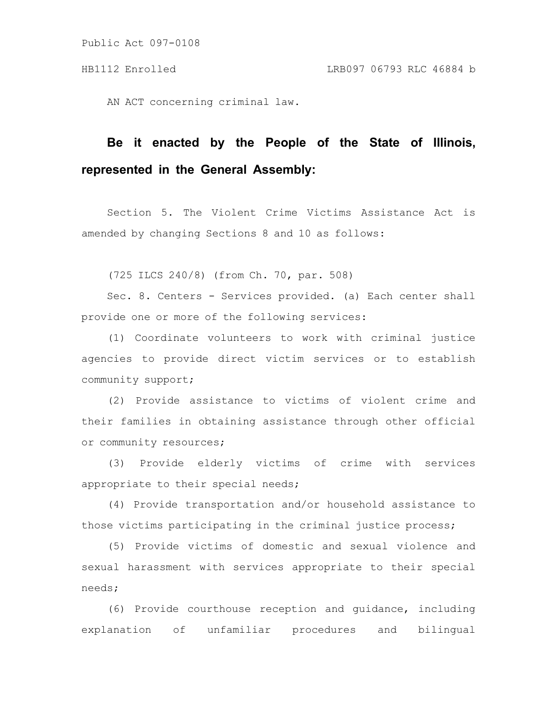Public Act 097-0108

AN ACT concerning criminal law.

## **Be it enacted by the People of the State of Illinois, represented in the General Assembly:**

Section 5. The Violent Crime Victims Assistance Act is amended by changing Sections 8 and 10 as follows:

(725 ILCS 240/8) (from Ch. 70, par. 508)

Sec. 8. Centers - Services provided. (a) Each center shall provide one or more of the following services:

(1) Coordinate volunteers to work with criminal justice agencies to provide direct victim services or to establish community support;

(2) Provide assistance to victims of violent crime and their families in obtaining assistance through other official or community resources;

(3) Provide elderly victims of crime with services appropriate to their special needs;

(4) Provide transportation and/or household assistance to those victims participating in the criminal justice process;

(5) Provide victims of domestic and sexual violence and sexual harassment with services appropriate to their special needs;

(6) Provide courthouse reception and guidance, including explanation of unfamiliar procedures and bilingual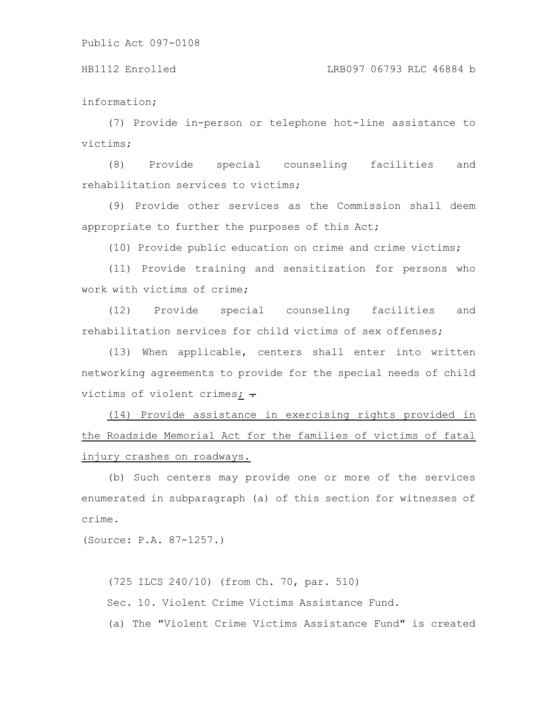information;

(7) Provide in-person or telephone hot-line assistance to victims;

(8) Provide special counseling facilities and rehabilitation services to victims;

(9) Provide other services as the Commission shall deem appropriate to further the purposes of this Act;

(10) Provide public education on crime and crime victims;

(11) Provide training and sensitization for persons who work with victims of crime;

(12) Provide special counseling facilities and rehabilitation services for child victims of sex offenses;

(13) When applicable, centers shall enter into written networking agreements to provide for the special needs of child victims of violent crimes;  $\div$ 

(14) Provide assistance in exercising rights provided in the Roadside Memorial Act for the families of victims of fatal injury crashes on roadways.

(b) Such centers may provide one or more of the services enumerated in subparagraph (a) of this section for witnesses of crime.

(Source: P.A. 87-1257.)

(725 ILCS 240/10) (from Ch. 70, par. 510) Sec. 10. Violent Crime Victims Assistance Fund. (a) The "Violent Crime Victims Assistance Fund" is created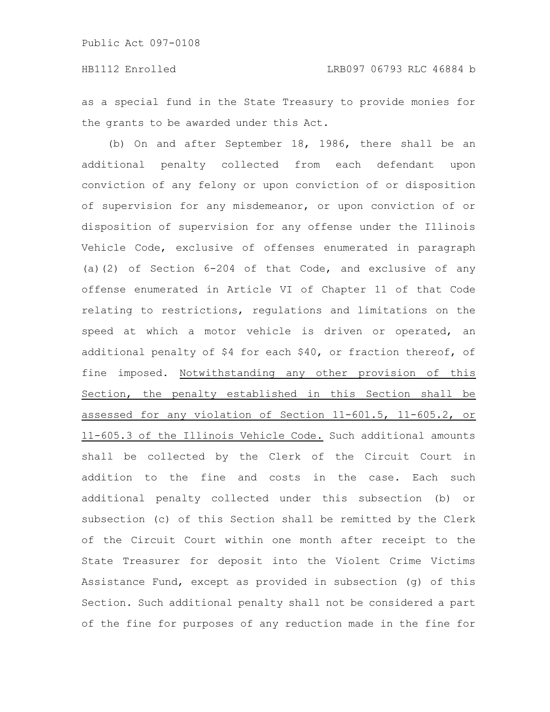as a special fund in the State Treasury to provide monies for the grants to be awarded under this Act.

(b) On and after September 18, 1986, there shall be an additional penalty collected from each defendant upon conviction of any felony or upon conviction of or disposition of supervision for any misdemeanor, or upon conviction of or disposition of supervision for any offense under the Illinois Vehicle Code, exclusive of offenses enumerated in paragraph (a)(2) of Section 6-204 of that Code, and exclusive of any offense enumerated in Article VI of Chapter 11 of that Code relating to restrictions, regulations and limitations on the speed at which a motor vehicle is driven or operated, an additional penalty of \$4 for each \$40, or fraction thereof, of fine imposed. Notwithstanding any other provision of this Section, the penalty established in this Section shall be assessed for any violation of Section 11-601.5, 11-605.2, or 11-605.3 of the Illinois Vehicle Code. Such additional amounts shall be collected by the Clerk of the Circuit Court in addition to the fine and costs in the case. Each such additional penalty collected under this subsection (b) or subsection (c) of this Section shall be remitted by the Clerk of the Circuit Court within one month after receipt to the State Treasurer for deposit into the Violent Crime Victims Assistance Fund, except as provided in subsection (g) of this Section. Such additional penalty shall not be considered a part of the fine for purposes of any reduction made in the fine for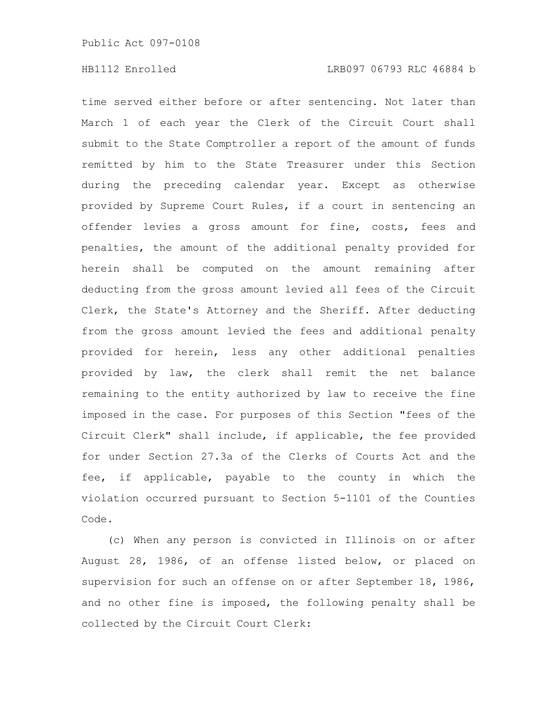time served either before or after sentencing. Not later than March 1 of each year the Clerk of the Circuit Court shall submit to the State Comptroller a report of the amount of funds remitted by him to the State Treasurer under this Section during the preceding calendar year. Except as otherwise provided by Supreme Court Rules, if a court in sentencing an offender levies a gross amount for fine, costs, fees and penalties, the amount of the additional penalty provided for herein shall be computed on the amount remaining after deducting from the gross amount levied all fees of the Circuit Clerk, the State's Attorney and the Sheriff. After deducting from the gross amount levied the fees and additional penalty provided for herein, less any other additional penalties provided by law, the clerk shall remit the net balance remaining to the entity authorized by law to receive the fine imposed in the case. For purposes of this Section "fees of the Circuit Clerk" shall include, if applicable, the fee provided for under Section 27.3a of the Clerks of Courts Act and the fee, if applicable, payable to the county in which the violation occurred pursuant to Section 5-1101 of the Counties Code.

(c) When any person is convicted in Illinois on or after August 28, 1986, of an offense listed below, or placed on supervision for such an offense on or after September 18, 1986, and no other fine is imposed, the following penalty shall be collected by the Circuit Court Clerk: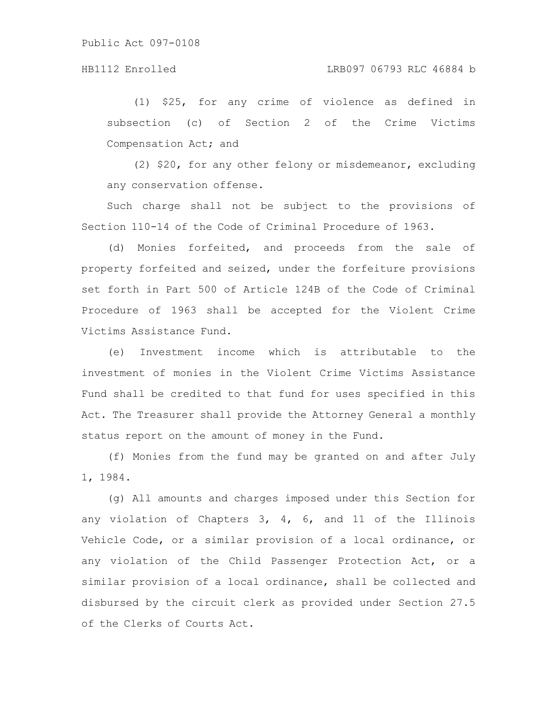## HB1112 Enrolled LRB097 06793 RLC 46884 b

(1) \$25, for any crime of violence as defined in subsection (c) of Section 2 of the Crime Victims Compensation Act; and

(2) \$20, for any other felony or misdemeanor, excluding any conservation offense.

Such charge shall not be subject to the provisions of Section 110-14 of the Code of Criminal Procedure of 1963.

(d) Monies forfeited, and proceeds from the sale of property forfeited and seized, under the forfeiture provisions set forth in Part 500 of Article 124B of the Code of Criminal Procedure of 1963 shall be accepted for the Violent Crime Victims Assistance Fund.

(e) Investment income which is attributable to the investment of monies in the Violent Crime Victims Assistance Fund shall be credited to that fund for uses specified in this Act. The Treasurer shall provide the Attorney General a monthly status report on the amount of money in the Fund.

(f) Monies from the fund may be granted on and after July 1, 1984.

(g) All amounts and charges imposed under this Section for any violation of Chapters 3, 4, 6, and 11 of the Illinois Vehicle Code, or a similar provision of a local ordinance, or any violation of the Child Passenger Protection Act, or a similar provision of a local ordinance, shall be collected and disbursed by the circuit clerk as provided under Section 27.5 of the Clerks of Courts Act.